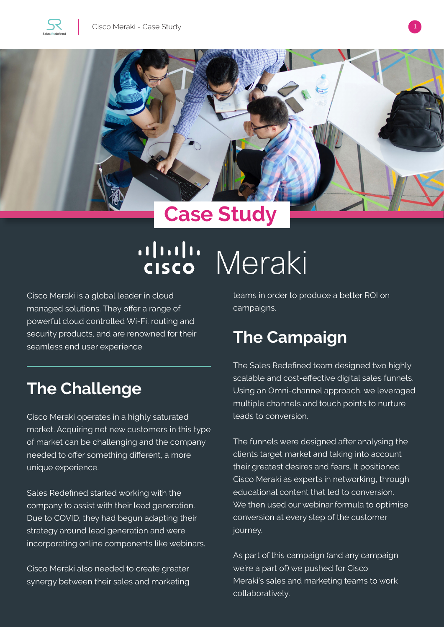





# ululu Meraki

Cisco Meraki is a global leader in cloud managed solutions. They offer a range of powerful cloud controlled Wi-Fi, routing and security products, and are renowned for their seamless end user experience.

## **The Challenge**

Cisco Meraki operates in a highly saturated market. Acquiring net new customers in this type of market can be challenging and the company needed to offer something different, a more unique experience.

Sales Redefined started working with the company to assist with their lead generation. Due to COVID, they had begun adapting their strategy around lead generation and were incorporating online components like webinars.

Cisco Meraki also needed to create greater synergy between their sales and marketing teams in order to produce a better ROI on campaigns.

### **The Campaign**

The Sales Redefined team designed two highly scalable and cost-effective digital sales funnels. Using an Omni-channel approach, we leveraged multiple channels and touch points to nurture leads to conversion.

The funnels were designed after analysing the clients target market and taking into account their greatest desires and fears. It positioned Cisco Meraki as experts in networking, through educational content that led to conversion. We then used our webinar formula to optimise conversion at every step of the customer journey.

As part of this campaign (and any campaign we're a part of) we pushed for Cisco Meraki's sales and marketing teams to work collaboratively.